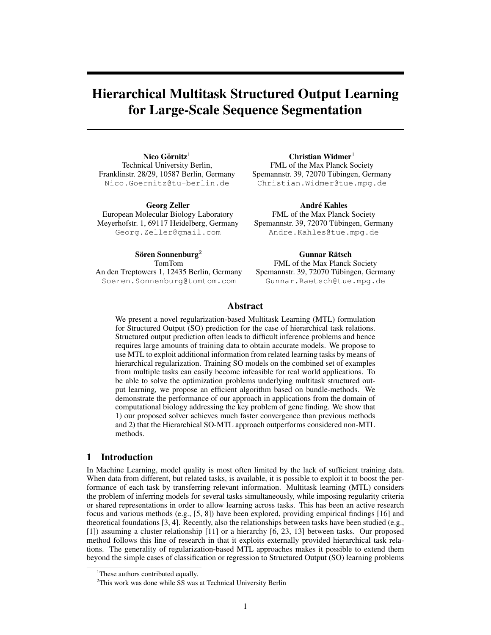# Hierarchical Multitask Structured Output Learning for Large-Scale Sequence Segmentation

Nico Görnitz $1$ Technical University Berlin, Franklinstr. 28/29, 10587 Berlin, Germany Nico.Goernitz@tu-berlin.de

Georg Zeller European Molecular Biology Laboratory Meyerhofstr. 1, 69117 Heidelberg, Germany Georg.Zeller@gmail.com

Christian Widmer $1$ FML of the Max Planck Society Spemannstr. 39, 72070 Tübingen, Germany Christian.Widmer@tue.mpg.de

**André Kahles** FML of the Max Planck Society Spemannstr. 39, 72070 Tübingen, Germany Andre.Kahles@tue.mpg.de

Sören Sonnenburg<sup>2</sup> TomTom An den Treptowers 1, 12435 Berlin, Germany Soeren.Sonnenburg@tomtom.com

Gunnar Rätsch FML of the Max Planck Society Spemannstr. 39, 72070 Tübingen, Germany Gunnar.Raetsch@tue.mpg.de

## Abstract

We present a novel regularization-based Multitask Learning (MTL) formulation for Structured Output (SO) prediction for the case of hierarchical task relations. Structured output prediction often leads to difficult inference problems and hence requires large amounts of training data to obtain accurate models. We propose to use MTL to exploit additional information from related learning tasks by means of hierarchical regularization. Training SO models on the combined set of examples from multiple tasks can easily become infeasible for real world applications. To be able to solve the optimization problems underlying multitask structured output learning, we propose an efficient algorithm based on bundle-methods. We demonstrate the performance of our approach in applications from the domain of computational biology addressing the key problem of gene finding. We show that 1) our proposed solver achieves much faster convergence than previous methods and 2) that the Hierarchical SO-MTL approach outperforms considered non-MTL methods.

## 1 Introduction

In Machine Learning, model quality is most often limited by the lack of sufficient training data. When data from different, but related tasks, is available, it is possible to exploit it to boost the performance of each task by transferring relevant information. Multitask learning (MTL) considers the problem of inferring models for several tasks simultaneously, while imposing regularity criteria or shared representations in order to allow learning across tasks. This has been an active research focus and various methods (e.g., [5, 8]) have been explored, providing empirical findings [16] and theoretical foundations [3, 4]. Recently, also the relationships between tasks have been studied (e.g., [1]) assuming a cluster relationship [11] or a hierarchy [6, 23, 13] between tasks. Our proposed method follows this line of research in that it exploits externally provided hierarchical task relations. The generality of regularization-based MTL approaches makes it possible to extend them beyond the simple cases of classification or regression to Structured Output (SO) learning problems

<sup>&</sup>lt;sup>1</sup>These authors contributed equally.

<sup>&</sup>lt;sup>2</sup>This work was done while SS was at Technical University Berlin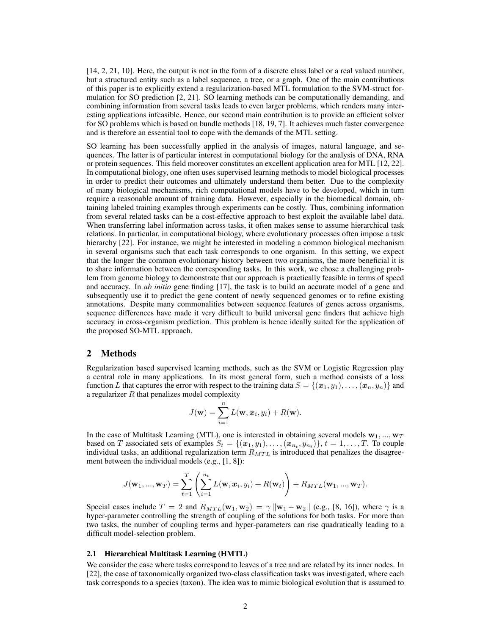[14, 2, 21, 10]. Here, the output is not in the form of a discrete class label or a real valued number, but a structured entity such as a label sequence, a tree, or a graph. One of the main contributions of this paper is to explicitly extend a regularization-based MTL formulation to the SVM-struct formulation for SO prediction [2, 21]. SO learning methods can be computationally demanding, and combining information from several tasks leads to even larger problems, which renders many interesting applications infeasible. Hence, our second main contribution is to provide an efficient solver for SO problems which is based on bundle methods [18, 19, 7]. It achieves much faster convergence and is therefore an essential tool to cope with the demands of the MTL setting.

SO learning has been successfully applied in the analysis of images, natural language, and sequences. The latter is of particular interest in computational biology for the analysis of DNA, RNA or protein sequences. This field moreover constitutes an excellent application area for MTL [12, 22]. In computational biology, one often uses supervised learning methods to model biological processes in order to predict their outcomes and ultimately understand them better. Due to the complexity of many biological mechanisms, rich computational models have to be developed, which in turn require a reasonable amount of training data. However, especially in the biomedical domain, obtaining labeled training examples through experiments can be costly. Thus, combining information from several related tasks can be a cost-effective approach to best exploit the available label data. When transferring label information across tasks, it often makes sense to assume hierarchical task relations. In particular, in computational biology, where evolutionary processes often impose a task hierarchy [22]. For instance, we might be interested in modeling a common biological mechanism in several organisms such that each task corresponds to one organism. In this setting, we expect that the longer the common evolutionary history between two organisms, the more beneficial it is to share information between the corresponding tasks. In this work, we chose a challenging problem from genome biology to demonstrate that our approach is practically feasible in terms of speed and accuracy. In *ab initio* gene finding [17], the task is to build an accurate model of a gene and subsequently use it to predict the gene content of newly sequenced genomes or to refine existing annotations. Despite many commonalities between sequence features of genes across organisms, sequence differences have made it very difficult to build universal gene finders that achieve high accuracy in cross-organism prediction. This problem is hence ideally suited for the application of the proposed SO-MTL approach.

## 2 Methods

Regularization based supervised learning methods, such as the SVM or Logistic Regression play a central role in many applications. In its most general form, such a method consists of a loss function L that captures the error with respect to the training data  $S = \{(x_1, y_1), \ldots, (x_n, y_n)\}\$ and a regularizer  $R$  that penalizes model complexity

$$
J(\mathbf{w}) = \sum_{i=1}^n L(\mathbf{w}, x_i, y_i) + R(\mathbf{w}).
$$

In the case of Multitask Learning (MTL), one is interested in obtaining several models  $w_1, ..., w_T$ based on T associated sets of examples  $S_t = \{(\mathbf{x}_1, y_1), \ldots, (\mathbf{x}_{n_t}, y_{n_t})\}, t = 1, \ldots, T$ . To couple individual tasks, an additional regularization term  $R_{MTL}$  is introduced that penalizes the disagreement between the individual models (e.g., [1, 8]):

$$
J(\mathbf{w}_1, ..., \mathbf{w}_T) = \sum_{t=1}^T \left( \sum_{i=1}^{n_t} L(\mathbf{w}, x_i, y_i) + R(\mathbf{w}_t) \right) + R_{MTL}(\mathbf{w}_1, ..., \mathbf{w}_T).
$$

Special cases include  $T = 2$  and  $R_{MTL}(\mathbf{w}_1, \mathbf{w}_2) = \gamma ||\mathbf{w}_1 - \mathbf{w}_2||$  (e.g., [8, 16]), where  $\gamma$  is a hyper-parameter controlling the strength of coupling of the solutions for both tasks. For more than two tasks, the number of coupling terms and hyper-parameters can rise quadratically leading to a difficult model-selection problem.

#### 2.1 Hierarchical Multitask Learning (HMTL)

We consider the case where tasks correspond to leaves of a tree and are related by its inner nodes. In [22], the case of taxonomically organized two-class classification tasks was investigated, where each task corresponds to a species (taxon). The idea was to mimic biological evolution that is assumed to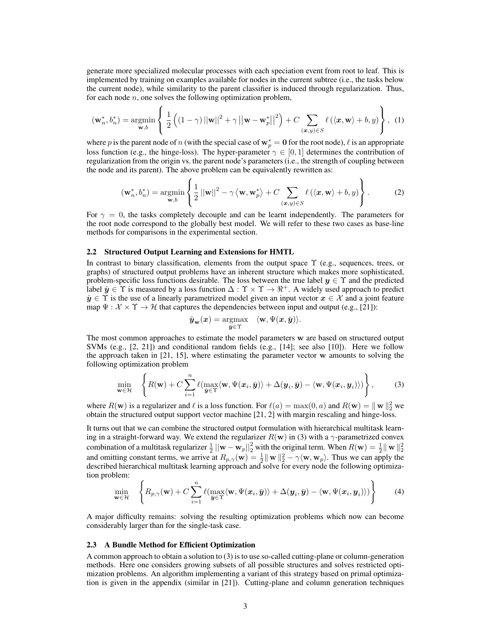generate more specialized molecular processes with each speciation event from root to leaf. This is implemented by training on examples available for nodes in the current subtree (i.e., the tasks below the current node), while similarity to the parent classifier is induced through regularization. Thus, for each node  $n$ , one solves the following optimization problem,

$$
(\mathbf{w}_n^*, b_n^*) = \underset{\mathbf{w}, b}{\text{argmin}} \left\{ \frac{1}{2} \left( (1 - \gamma) ||\mathbf{w}||^2 + \gamma ||\mathbf{w} - \mathbf{w}_p^*||^2 \right) + C \sum_{(\mathbf{x}, y) \in S} \ell(\langle \mathbf{x}, \mathbf{w} \rangle + b, y) \right\}, \tag{1}
$$

where p is the parent node of n (with the special case of  $w_p^* = 0$  for the root node),  $\ell$  is an appropriate loss function (e.g., the hinge-loss). The hyper-parameter  $\gamma \in [0, 1]$  determines the contribution of regularization from the origin vs. the parent node's parameters (i.e., the strength of coupling between the node and its parent). The above problem can be equivalently rewritten as:

$$
(\mathbf{w}_n^*, b_n^*) = \underset{\mathbf{w}, b}{\text{argmin}} \left\{ \frac{1}{2} \left| |\mathbf{w}| \right|^2 - \gamma \left\langle \mathbf{w}, \mathbf{w}_p^* \right\rangle + C \sum_{(\mathbf{x}, y) \in S} \ell \left( \left\langle \mathbf{x}, \mathbf{w} \right\rangle + b, y \right) \right\}.
$$
 (2)

For  $\gamma = 0$ , the tasks completely decouple and can be learnt independently. The parameters for the root node correspond to the globally best model. We will refer to these two cases as base-line methods for comparisons in the experimental section.

## 2.2 Structured Output Learning and Extensions for HMTL

In contrast to binary classification, elements from the output space  $\Upsilon$  (e.g., sequences, trees, or graphs) of structured output problems have an inherent structure which makes more sophisticated, problem-specific loss functions desirable. The loss between the true label  $y \in \Upsilon$  and the predicted label  $\hat{y} \in \Upsilon$  is measured by a loss function  $\Delta : \Upsilon \times \Upsilon \to \mathbb{R}^+$ . A widely used approach to predict  $\hat{y} \in \Upsilon$  is the use of a linearly parametrized model given an input vector  $x \in \mathcal{X}$  and a joint feature map  $\Psi : \mathcal{X} \times \Upsilon \to \mathcal{H}$  that captures the dependencies between input and output (e.g., [21]):

$$
\hat{\mathbf{y}}_{\mathbf{w}}(\mathbf{x}) = \underset{\bar{\mathbf{y}} \in \Upsilon}{\operatorname{argmax}} \quad \langle \mathbf{w}, \Psi(\mathbf{x}, \bar{\mathbf{y}}) \rangle.
$$

The most common approaches to estimate the model parameters w are based on structured output SVMs (e.g.,  $[2, 21]$ ) and conditional random fields (e.g.,  $[14]$ ; see also  $[10]$ ). Here we follow the approach taken in [21, 15], where estimating the parameter vector w amounts to solving the following optimization problem

$$
\min_{\mathbf{w}\in\mathcal{H}} \quad \left\{ R(\mathbf{w}) + C \sum_{i=1}^n \ell(\max_{\bar{\mathbf{y}}\in\Upsilon} \langle \mathbf{w}, \Psi(\mathbf{x}_i, \bar{\mathbf{y}}) \rangle + \Delta(\mathbf{y}_i, \bar{\mathbf{y}}) - \langle \mathbf{w}, \Psi(\mathbf{x}_i, \mathbf{y}_i) \rangle) \right\},\tag{3}
$$

where  $R(\mathbf{w})$  is a regularizer and  $\ell$  is a loss function. For  $\ell(a) = \max(0, a)$  and  $R(\mathbf{w}) = ||\mathbf{w}||_2^2$  we obtain the structured output support vector machine [21, 2] with margin rescaling and hinge-loss.

It turns out that we can combine the structured output formulation with hierarchical multitask learning in a straight-forward way. We extend the regularizer  $R(w)$  in (3) with a  $\gamma$ -parametrized convex combination of a multitask regularizer  $\frac{1}{2} ||\mathbf{w} - \mathbf{w}_p||_2^2$  with the original term. When  $R(\mathbf{w}) = \frac{1}{2} ||\mathbf{w}||_2^2$ <br>and omitting constant terms, we arrive at  $R_{p,\gamma}(\mathbf{w}) = \frac{1}{2} ||\mathbf{w}||_2^2 - \gamma \langle \mathbf{w}, \mathbf{w}_p$ described hierarchical multitask learning approach and solve for every node the following optimization problem:

$$
\min_{\mathbf{w}\in\mathcal{H}} \left\{ R_{p,\gamma}(\mathbf{w}) + C \sum_{i=1}^n \ell(\max_{\mathbf{\bar{y}}\in\Upsilon} \langle \mathbf{w}, \Psi(\mathbf{x}_i, \bar{\mathbf{y}}) \rangle + \Delta(\mathbf{y}_i, \bar{\mathbf{y}}) - \langle \mathbf{w}, \Psi(\mathbf{x}_i, \mathbf{y}_i) \rangle) \right\}
$$
(4)

A major difficulty remains: solving the resulting optimization problems which now can become considerably larger than for the single-task case.

## 2.3 A Bundle Method for Efficient Optimization

A common approach to obtain a solution to (3) is to use so-called cutting-plane or column-generation methods. Here one considers growing subsets of all possible structures and solves restricted optimization problems. An algorithm implementing a variant of this strategy based on primal optimization is given in the appendix (similar in [21]). Cutting-plane and column generation techniques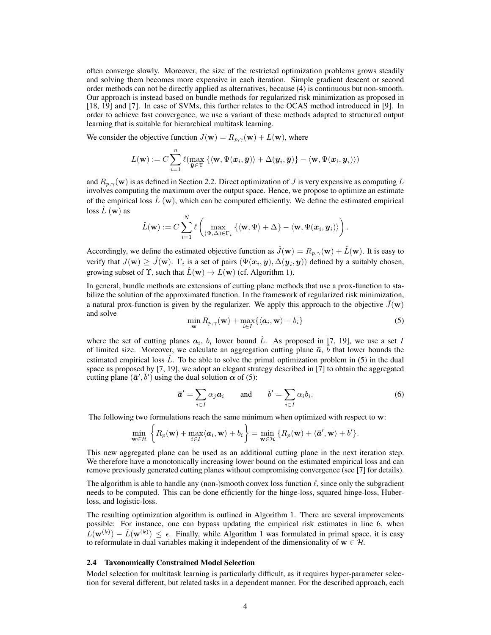often converge slowly. Moreover, the size of the restricted optimization problems grows steadily and solving them becomes more expensive in each iteration. Simple gradient descent or second order methods can not be directly applied as alternatives, because (4) is continuous but non-smooth. Our approach is instead based on bundle methods for regularized risk minimization as proposed in [18, 19] and [7]. In case of SVMs, this further relates to the OCAS method introduced in [9]. In order to achieve fast convergence, we use a variant of these methods adapted to structured output learning that is suitable for hierarchical multitask learning.

We consider the objective function  $J(\mathbf{w}) = R_{p,\gamma}(\mathbf{w}) + L(\mathbf{w})$ , where

$$
L(\mathbf{w}) := C\sum_{i=1}^n \ell(\max_{\bar{\bm{y}} \in \Upsilon} \left\{\langle \mathbf{w}, \Psi(\bm{x}_i, \bar{\bm{y}}) \rangle + \Delta(\bm{y}_i, \bar{\bm{y}}) \right\} - \langle \mathbf{w}, \Psi(\bm{x}_i, \bm{y}_i) \rangle)
$$

and  $R_{p,\gamma}(\mathbf{w})$  is as defined in Section 2.2. Direct optimization of J is very expensive as computing L involves computing the maximum over the output space. Hence, we propose to optimize an estimate of the empirical loss  $\hat{L}(\mathbf{w})$ , which can be computed efficiently. We define the estimated empirical  $\cos \hat{L}$  (w) as

$$
\hat{L}(\mathbf{w}) := C \sum_{i=1}^N \ell \left( \max_{(\Psi, \Delta) \in \Gamma_i} \left\{ \langle \mathbf{w}, \Psi \rangle + \Delta \right\} - \langle \mathbf{w}, \Psi(\mathbf{x}_i, \mathbf{y}_i) \rangle \right).
$$

Accordingly, we define the estimated objective function as  $\hat{J}(\mathbf{w}) = R_{p,\gamma}(\mathbf{w}) + \hat{L}(\mathbf{w})$ . It is easy to verify that  $J(\mathbf{w}) \geq \hat{J}(\mathbf{w})$ .  $\Gamma_i$  is a set of pairs  $(\Psi(\mathbf{x}_i, \mathbf{y}), \Delta(\mathbf{y}_i, \mathbf{y}))$  defined by a suitably chosen, growing subset of  $\Upsilon$ , such that  $\hat{L}(\mathbf{w}) \to L(\mathbf{w})$  (cf. Algorithm 1).

In general, bundle methods are extensions of cutting plane methods that use a prox-function to stabilize the solution of the approximated function. In the framework of regularized risk minimization, a natural prox-function is given by the regularizer. We apply this approach to the objective  $\tilde{J}(\mathbf{w})$ and solve

$$
\min_{\mathbf{w}} R_{p,\gamma}(\mathbf{w}) + \max_{i \in I} \{ \langle \mathbf{a}_i, \mathbf{w} \rangle + b_i \}
$$
 (5)

where the set of cutting planes  $a_i$ ,  $b_i$  lower bound  $\hat{L}$ . As proposed in [7, 19], we use a set I of limited size. Moreover, we calculate an aggregation cutting plane  $\bar{a}$ ,  $\bar{b}$  that lower bounds the estimated empirical loss  $\ddot{L}$ . To be able to solve the primal optimization problem in (5) in the dual space as proposed by [7, 19], we adopt an elegant strategy described in [7] to obtain the aggregated cutting plane  $(\bar{a}', \bar{b}')$  using the dual solution  $\alpha$  of (5):

$$
\bar{a}' = \sum_{i \in I} \alpha_j a_i \quad \text{and} \quad \bar{b}' = \sum_{i \in I} \alpha_i b_i. \tag{6}
$$

The following two formulations reach the same minimum when optimized with respect to w:

$$
\min_{\mathbf{w}\in\mathcal{H}}\left\{R_p(\mathbf{w})+\max_{i\in I}\langle\mathbf{a}_i,\mathbf{w}\rangle+b_i\right\}=\min_{\mathbf{w}\in\mathcal{H}}\left\{R_p(\mathbf{w})+\langle\bar{\mathbf{a}}',\mathbf{w}\rangle+\bar{b}'\right\}.
$$

This new aggregated plane can be used as an additional cutting plane in the next iteration step. We therefore have a monotonically increasing lower bound on the estimated empirical loss and can remove previously generated cutting planes without compromising convergence (see [7] for details).

The algorithm is able to handle any (non-)smooth convex loss function  $\ell$ , since only the subgradient needs to be computed. This can be done efficiently for the hinge-loss, squared hinge-loss, Huberloss, and logistic-loss.

The resulting optimization algorithm is outlined in Algorithm 1. There are several improvements possible: For instance, one can bypass updating the empirical risk estimates in line 6, when  $L(\mathbf{w}^{(k)}) - \hat{L}(\mathbf{w}^{(k)}) \leq \epsilon$ . Finally, while Algorithm 1 was formulated in primal space, it is easy to reformulate in dual variables making it independent of the dimensionality of  $w \in \mathcal{H}$ .

### 2.4 Taxonomically Constrained Model Selection

Model selection for multitask learning is particularly difficult, as it requires hyper-parameter selection for several different, but related tasks in a dependent manner. For the described approach, each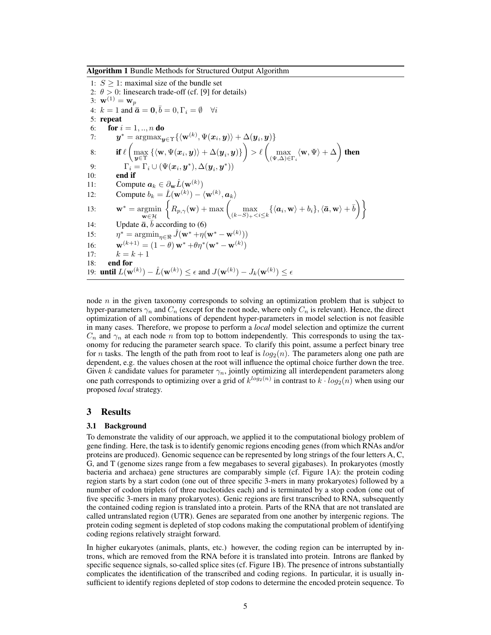Algorithm 1 Bundle Methods for Structured Output Algorithm

1:  $S > 1$ : maximal size of the bundle set 2:  $\theta > 0$ : linesearch trade-off (cf. [9] for details) 3:  $\mathbf{w}^{(1)} = \mathbf{w}_p$ 4:  $k = 1$  and  $\bar{a} = 0, \bar{b} = 0, \Gamma_i = \emptyset \quad \forall i$ 5: repeat 6: **for**  $i = 1, ..., n$  **do** 7:  $\boldsymbol{y}^* = \operatorname*{argmax}_{\boldsymbol{y} \in \Upsilon} \{ \langle \mathbf{w}^{(k)}, \Psi(\boldsymbol{x}_i, \boldsymbol{y}) \rangle + \Delta(\boldsymbol{y}_i, \boldsymbol{y}) \}$ 8: if  $\ell$ 1  $\max_{\bm{y}\in\Upsilon} \left\{\langle \mathbf{w}, \Psi(\bm{x}_i, \bm{y}) \rangle + \Delta(\bm{y}_i, \bm{y}) \right\}$  $\lambda$  $> \ell$ 1 max  $\max_{(\Psi,\Delta)\in\Gamma_i}\langle \mathbf{w},\Psi\rangle + \Delta$  $\lambda$ then 9:  $\Gamma_i = \Gamma_i \cup (\Psi(\boldsymbol{x}_i, \boldsymbol{y}^*), \Delta(\boldsymbol{y}_i, \boldsymbol{y}^*))$  $10:$ 11: Compute  $a_k \in \partial_{\mathbf{w}} \hat{L}(\mathbf{w}^{(k)})$ 12: Compute  $b_k = \hat{L}(\mathbf{w}^{(k)}) - \langle \mathbf{w}^{(k)}, \mathbf{a}_k \rangle$ 13:  $\mathbf{w}^* = \mathbf{argmin}$  $\mathbf{w}$  $\in \mathcal{H}$  $\left\{ R_{p,\gamma}(\mathbf{w}) + \max \left( \max_{\alpha \in \mathbb{R}^n} \mathbb{R} \right) \right\}$  $\left\{\max_{(k-S)_+ < i \leq k} \{ \langle {\boldsymbol a}_i, {\bf w} \rangle + b_i \}, \langle \bar {\boldsymbol a}, {\bf w} \rangle + \bar b \right) \bigg\}$ 14: Update  $\bar{a}$ ,  $\bar{b}$  according to (6) 15:  $\eta^* = \operatorname{argmin}_{\eta \in \mathbb{R}} \hat{J}(\mathbf{w}^* + \eta(\mathbf{w}^* - \mathbf{w}^{(k)}))$ 16:  $\mathbf{w}^{(k+1)} = (1 - \theta) \mathbf{w}^* + \theta \eta^* (\mathbf{w}^* - \mathbf{w}^{(k)})$ 17:  $k = k + 1$ 18: end for 19: **until**  $L(\mathbf{w}^{(k)}) - \hat{L}(\mathbf{w}^{(k)}) \le \epsilon$  and  $J(\mathbf{w}^{(k)}) - J_k(\mathbf{w}^{(k)}) \le \epsilon$ 

node  $n$  in the given taxonomy corresponds to solving an optimization problem that is subject to hyper-parameters  $\gamma_n$  and  $C_n$  (except for the root node, where only  $C_n$  is relevant). Hence, the direct optimization of all combinations of dependent hyper-parameters in model selection is not feasible in many cases. Therefore, we propose to perform a *local* model selection and optimize the current  $C_n$  and  $\gamma_n$  at each node n from top to bottom independently. This corresponds to using the taxonomy for reducing the parameter search space. To clarify this point, assume a perfect binary tree for *n* tasks. The length of the path from root to leaf is  $log_2(n)$ . The parameters along one path are dependent, e.g. the values chosen at the root will influence the optimal choice further down the tree. Given k candidate values for parameter  $\gamma_n$ , jointly optimizing all interdependent parameters along one path corresponds to optimizing over a grid of  $k^{log_2(n)}$  in contrast to  $k \cdot log_2(n)$  when using our proposed *local* strategy.

# 3 Results

## 3.1 Background

To demonstrate the validity of our approach, we applied it to the computational biology problem of gene finding. Here, the task is to identify genomic regions encoding genes (from which RNAs and/or proteins are produced). Genomic sequence can be represented by long strings of the four letters A, C, G, and T (genome sizes range from a few megabases to several gigabases). In prokaryotes (mostly bacteria and archaea) gene structures are comparably simple (cf. Figure 1A): the protein coding region starts by a start codon (one out of three specific 3-mers in many prokaryotes) followed by a number of codon triplets (of three nucleotides each) and is terminated by a stop codon (one out of five specific 3-mers in many prokaryotes). Genic regions are first transcribed to RNA, subsequently the contained coding region is translated into a protein. Parts of the RNA that are not translated are called untranslated region (UTR). Genes are separated from one another by intergenic regions. The protein coding segment is depleted of stop codons making the computational problem of identifying coding regions relatively straight forward.

In higher eukaryotes (animals, plants, etc.) however, the coding region can be interrupted by introns, which are removed from the RNA before it is translated into protein. Introns are flanked by specific sequence signals, so-called splice sites (cf. Figure 1B). The presence of introns substantially complicates the identification of the transcribed and coding regions. In particular, it is usually insufficient to identify regions depleted of stop codons to determine the encoded protein sequence. To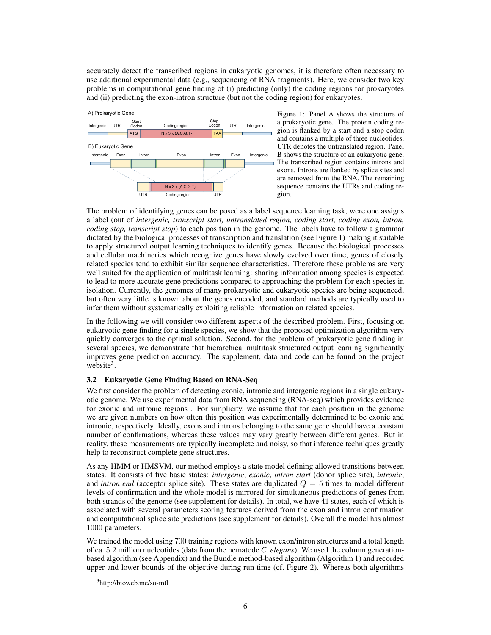accurately detect the transcribed regions in eukaryotic genomes, it is therefore often necessary to use additional experimental data (e.g., sequencing of RNA fragments). Here, we consider two key problems in computational gene finding of (i) predicting (only) the coding regions for prokaryotes and (ii) predicting the exon-intron structure (but not the coding region) for eukaryotes.



Figure 1: Panel A shows the structure of a prokaryotic gene. The protein coding region is flanked by a start and a stop codon and contains a multiple of three nucleotides. UTR denotes the untranslated region. Panel B shows the structure of an eukaryotic gene. The transcribed region contains introns and exons. Introns are flanked by splice sites and are removed from the RNA. The remaining sequence contains the UTRs and coding region.

The problem of identifying genes can be posed as a label sequence learning task, were one assigns a label (out of *intergenic, transcript start, untranslated region, coding start, coding exon, intron, coding stop, transcript stop*) to each position in the genome. The labels have to follow a grammar dictated by the biological processes of transcription and translation (see Figure 1) making it suitable to apply structured output learning techniques to identify genes. Because the biological processes and cellular machineries which recognize genes have slowly evolved over time, genes of closely related species tend to exhibit similar sequence characteristics. Therefore these problems are very well suited for the application of multitask learning: sharing information among species is expected to lead to more accurate gene predictions compared to approaching the problem for each species in isolation. Currently, the genomes of many prokaryotic and eukaryotic species are being sequenced, but often very little is known about the genes encoded, and standard methods are typically used to infer them without systematically exploiting reliable information on related species.

In the following we will consider two different aspects of the described problem. First, focusing on eukaryotic gene finding for a single species, we show that the proposed optimization algorithm very quickly converges to the optimal solution. Second, for the problem of prokaryotic gene finding in several species, we demonstrate that hierarchical multitask structured output learning significantly improves gene prediction accuracy. The supplement, data and code can be found on the project website $3$ .

# 3.2 Eukaryotic Gene Finding Based on RNA-Seq

We first consider the problem of detecting exonic, intronic and intergenic regions in a single eukaryotic genome. We use experimental data from RNA sequencing (RNA-seq) which provides evidence for exonic and intronic regions . For simplicity, we assume that for each position in the genome we are given numbers on how often this position was experimentally determined to be exonic and intronic, respectively. Ideally, exons and introns belonging to the same gene should have a constant number of confirmations, whereas these values may vary greatly between different genes. But in reality, these measurements are typically incomplete and noisy, so that inference techniques greatly help to reconstruct complete gene structures.

As any HMM or HMSVM, our method employs a state model defining allowed transitions between states. It consists of five basic states: *intergenic*, *exonic*, *intron start* (donor splice site), *intronic*, and *intron end* (acceptor splice site). These states are duplicated  $Q = 5$  times to model different levels of confirmation and the whole model is mirrored for simultaneous predictions of genes from both strands of the genome (see supplement for details). In total, we have 41 states, each of which is associated with several parameters scoring features derived from the exon and intron confirmation and computational splice site predictions (see supplement for details). Overall the model has almost 1000 parameters.

We trained the model using 700 training regions with known exon/intron structures and a total length of ca. 5.2 million nucleotides (data from the nematode *C. elegans*). We used the column generationbased algorithm (see Appendix) and the Bundle method-based algorithm (Algorithm 1) and recorded upper and lower bounds of the objective during run time (cf. Figure 2). Whereas both algorithms

<sup>&</sup>lt;sup>3</sup>http://bioweb.me/so-mtl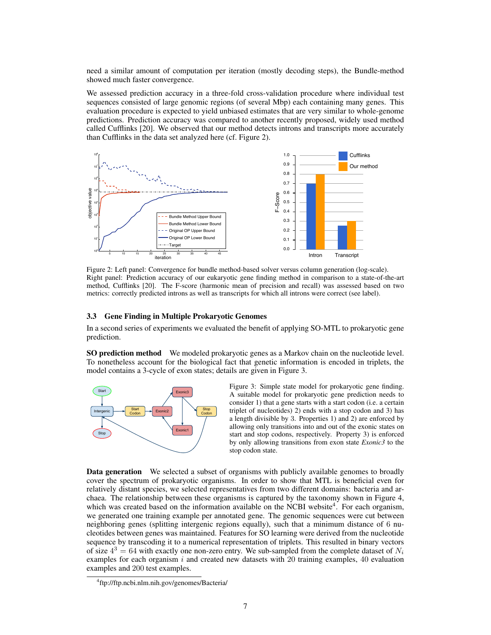need a similar amount of computation per iteration (mostly decoding steps), the Bundle-method showed much faster convergence.

We assessed prediction accuracy in a three-fold cross-validation procedure where individual test sequences consisted of large genomic regions (of several Mbp) each containing many genes. This evaluation procedure is expected to yield unbiased estimates that are very similar to whole-genome predictions. Prediction accuracy was compared to another recently proposed, widely used method called Cufflinks [20]. We observed that our method detects introns and transcripts more accurately than Cufflinks in the data set analyzed here (cf. Figure 2).



Figure 2: Left panel: Convergence for bundle method-based solver versus column generation (log-scale). Right panel: Prediction accuracy of our eukaryotic gene finding method in comparison to a state-of-the-art method, Cufflinks [20]. The F-score (harmonic mean of precision and recall) was assessed based on two metrics: correctly predicted introns as well as transcripts for which all introns were correct (see label).

## 3.3 Gene Finding in Multiple Prokaryotic Genomes

In a second series of experiments we evaluated the benefit of applying SO-MTL to prokaryotic gene prediction.

SO prediction method We modeled prokaryotic genes as a Markov chain on the nucleotide level. To nonetheless account for the biological fact that genetic information is encoded in triplets, the model contains a 3-cycle of exon states; details are given in Figure 3.



Figure 3: Simple state model for prokaryotic gene finding. A suitable model for prokaryotic gene prediction needs to consider 1) that a gene starts with a start codon (i.e. a certain triplet of nucleotides) 2) ends with a stop codon and 3) has a length divisible by 3. Properties 1) and 2) are enforced by allowing only transitions into and out of the exonic states on start and stop codons, respectively. Property 3) is enforced by only allowing transitions from exon state *Exonic3* to the stop codon state.

**Data generation** We selected a subset of organisms with publicly available genomes to broadly cover the spectrum of prokaryotic organisms. In order to show that MTL is beneficial even for relatively distant species, we selected representatives from two different domains: bacteria and archaea. The relationship between these organisms is captured by the taxonomy shown in Figure 4, which was created based on the information available on the NCBI website<sup>4</sup>. For each organism, we generated one training example per annotated gene. The genomic sequences were cut between neighboring genes (splitting intergenic regions equally), such that a minimum distance of 6 nucleotides between genes was maintained. Features for SO learning were derived from the nucleotide sequence by transcoding it to a numerical representation of triplets. This resulted in binary vectors of size  $4^3 = 64$  with exactly one non-zero entry. We sub-sampled from the complete dataset of  $N_i$ examples for each organism  $i$  and created new datasets with 20 training examples, 40 evaluation examples and 200 test examples.

<sup>4</sup> ftp://ftp.ncbi.nlm.nih.gov/genomes/Bacteria/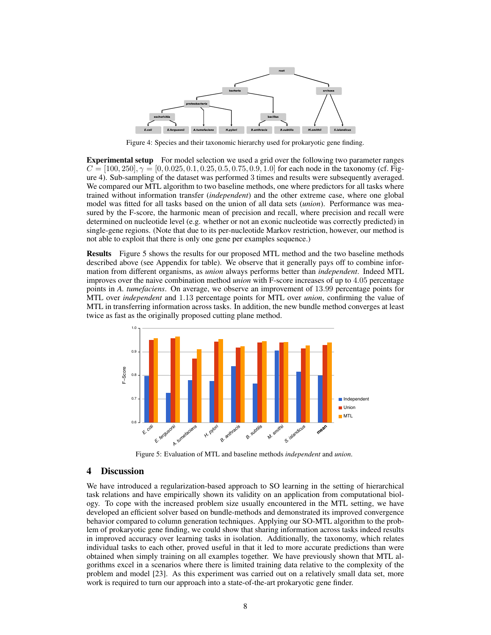

Figure 4: Species and their taxonomic hierarchy used for prokaryotic gene finding.

**Experimental setup** For model selection we used a grid over the following two parameter ranges  $C = [100, 250], \gamma = [0, 0.025, 0.1, 0.25, 0.5, 0.75, 0.9, 1.0]$  for each node in the taxonomy (cf. Figure 4). Sub-sampling of the dataset was performed 3 times and results were subsequently averaged. We compared our MTL algorithm to two baseline methods, one where predictors for all tasks where trained without information transfer (*independent*) and the other extreme case, where one global model was fitted for all tasks based on the union of all data sets (*union*). Performance was measured by the F-score, the harmonic mean of precision and recall, where precision and recall were determined on nucleotide level (e.g. whether or not an exonic nucleotide was correctly predicted) in single-gene regions. (Note that due to its per-nucleotide Markov restriction, however, our method is not able to exploit that there is only one gene per examples sequence.)

Results Figure 5 shows the results for our proposed MTL method and the two baseline methods described above (see Appendix for table). We observe that it generally pays off to combine information from different organisms, as *union* always performs better than *independent*. Indeed MTL improves over the naive combination method *union* with F-score increases of up to 4.05 percentage points in *A. tumefaciens*. On average, we observe an improvement of 13.99 percentage points for MTL over *independent* and 1.13 percentage points for MTL over *union*, confirming the value of MTL in transferring information across tasks. In addition, the new bundle method converges at least twice as fast as the originally proposed cutting plane method.



Figure 5: Evaluation of MTL and baseline methods *independent* and *union*.

# 4 Discussion

We have introduced a regularization-based approach to SO learning in the setting of hierarchical task relations and have empirically shown its validity on an application from computational biology. To cope with the increased problem size usually encountered in the MTL setting, we have developed an efficient solver based on bundle-methods and demonstrated its improved convergence behavior compared to column generation techniques. Applying our SO-MTL algorithm to the problem of prokaryotic gene finding, we could show that sharing information across tasks indeed results in improved accuracy over learning tasks in isolation. Additionally, the taxonomy, which relates individual tasks to each other, proved useful in that it led to more accurate predictions than were obtained when simply training on all examples together. We have previously shown that MTL algorithms excel in a scenarios where there is limited training data relative to the complexity of the problem and model [23]. As this experiment was carried out on a relatively small data set, more work is required to turn our approach into a state-of-the-art prokaryotic gene finder.